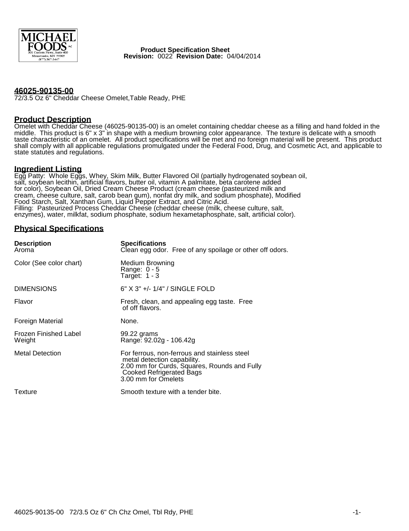

 **Product Specification Sheet Revision:** 0022 **Revision Date:** 04/04/2014

#### **46025-90135-00**

72/3.5 Oz 6" Cheddar Cheese Omelet,Table Ready, PHE

### **Product Description**

Omelet with Cheddar Cheese (46025-90135-00) is an omelet containing cheddar cheese as a filling and hand folded in the middle. This product is 6" x 3" in shape with a medium browning color appearance. The texture is delicate with a smooth taste characteristic of an omelet. All product specifications will be met and no foreign material will be present. This product shall comply with all applicable regulations promulgated under the Federal Food, Drug, and Cosmetic Act, and applicable to state statutes and regulations.

### **Ingredient Listing**

Egg Patty: Whole Eggs, Whey, Skim Milk, Butter Flavored Oil (partially hydrogenated soybean oil, salt, soybean lecithin, artificial flavors, butter oil, vitamin A palmitate, beta carotene added for color), Soybean Oil, Dried Cream Cheese Product (cream cheese (pasteurized milk and cream, cheese culture, salt, carob bean gum), nonfat dry milk, and sodium phosphate), Modified Food Starch, Salt, Xanthan Gum, Liquid Pepper Extract, and Citric Acid. Filling: Pasteurized Process Cheddar Cheese (cheddar cheese (milk, cheese culture, salt, enzymes), water, milkfat, sodium phosphate, sodium hexametaphosphate, salt, artificial color).

### **Physical Specifications**

| <b>Description</b><br>Aroma            | <b>Specifications</b><br>Clean egg odor. Free of any spoilage or other off odors.                                                                                                     |
|----------------------------------------|---------------------------------------------------------------------------------------------------------------------------------------------------------------------------------------|
| Color (See color chart)                | Medium Browning<br>Range: 0 - 5<br>Target: 1 - 3                                                                                                                                      |
| <b>DIMENSIONS</b>                      | $6"$ X 3" +/- 1/4" / SINGLE FOLD                                                                                                                                                      |
| Flavor                                 | Fresh, clean, and appealing egg taste. Free<br>of off flavors.                                                                                                                        |
| Foreign Material                       | None.                                                                                                                                                                                 |
| <b>Frozen Finished Label</b><br>Weight | 99.22 grams<br>Range: 92.02g - 106.42g                                                                                                                                                |
| <b>Metal Detection</b>                 | For ferrous, non-ferrous and stainless steel<br>metal detection capability.<br>2.00 mm for Curds, Squares, Rounds and Fully<br><b>Cooked Refrigerated Bags</b><br>3.00 mm for Omelets |
| Texture                                | Smooth texture with a tender bite.                                                                                                                                                    |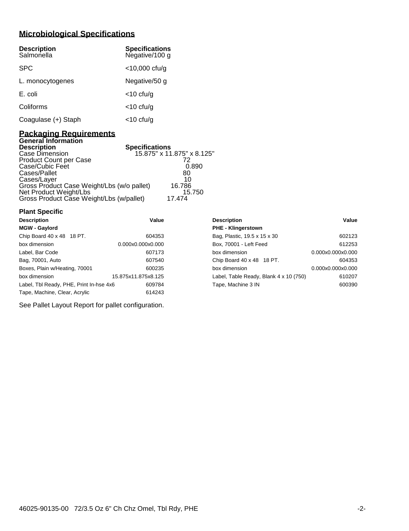# **Microbiological Specifications**

| <b>Description</b><br>Salmonella | <b>Specifications</b><br>Negative/100 g |
|----------------------------------|-----------------------------------------|
| <b>SPC</b>                       | $<$ 10,000 cfu/g                        |
| L. monocytogenes                 | Negative/50 g                           |
| E. coli                          | <10 cfu/g                               |
| Coliforms                        | $<$ 10 cfu/g                            |
| Coagulase (+) Staph              | <10 cfu/g                               |

### **Packaging Requirements General Information**

| <b>Description</b>                         | <b>Specifications</b>      |
|--------------------------------------------|----------------------------|
| Case Dimension                             | 15.875" x 11.875" x 8.125" |
| <b>Product Count per Case</b>              | 72                         |
| Case/Cubic Feet                            | 0.890                      |
| Cases/Pallet                               | 80                         |
| Cases/Layer                                | 10                         |
| Gross Product Case Weight/Lbs (w/o pallet) | 16.786                     |
| Net Product Weight/Lbs                     | 15.750                     |
| Gross Product Case Weight/Lbs (w/pallet)   | 17.474                     |

| <b>Plant Specific</b>                   |                     |                                        |                   |
|-----------------------------------------|---------------------|----------------------------------------|-------------------|
| <b>Description</b>                      | Value               | <b>Description</b>                     | Value             |
| <b>MGW - Gaylord</b>                    |                     | <b>PHE - Klingerstown</b>              |                   |
| Chip Board 40 x 48 18 PT.               | 604353              | Bag, Plastic, 19.5 x 15 x 30           | 602123            |
| box dimension                           | 0.000x0.000x0.000   | Box, 70001 - Left Feed                 | 612253            |
| Label, Bar Code                         | 607173              | box dimension                          | 0.000x0.000x0.000 |
| Bag, 70001, Auto                        | 607540              | Chip Board 40 x 48 18 PT.              | 604353            |
| Boxes, Plain w/Heating, 70001           | 600235              | box dimension                          | 0.000x0.000x0.000 |
| box dimension                           | 15.875x11.875x8.125 | Label, Table Ready, Blank 4 x 10 (750) | 610207            |
| Label, Tbl Ready, PHE, Print In-hse 4x6 | 609784              | Tape, Machine 3 IN                     | 600390            |
| Tape, Machine, Clear, Acrylic           | 614243              |                                        |                   |

See Pallet Layout Report for pallet configuration.

| <b>Description</b>                     | Value             |
|----------------------------------------|-------------------|
| <b>PHE - Klingerstown</b>              |                   |
| Bag, Plastic, 19.5 x 15 x 30           | 602123            |
| Box, 70001 - Left Feed                 | 612253            |
| box dimension                          | 0.000x0.000x0.000 |
| Chip Board 40 x 48 18 PT.              | 604353            |
| box dimension                          | 0.000x0.000x0.000 |
| Label, Table Ready, Blank 4 x 10 (750) | 610207            |
| Tape, Machine 3 IN                     | 600390            |